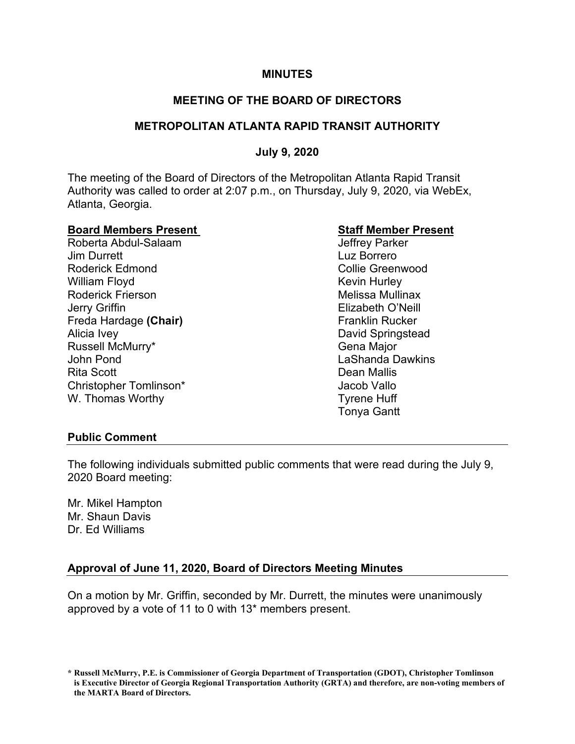### **MINUTES**

# **MEETING OF THE BOARD OF DIRECTORS**

# **METROPOLITAN ATLANTA RAPID TRANSIT AUTHORITY**

# **July 9, 2020**

The meeting of the Board of Directors of the Metropolitan Atlanta Rapid Transit Authority was called to order at 2:07 p.m., on Thursday, July 9, 2020, via WebEx, Atlanta, Georgia.

# **Board Members Present Staff Member Present**

Roberta Abdul-Salaam Jim Durrett Luz Borrero Roderick Edmond **Collie Greenwood** William Floyd **Kevin Hurley** Roderick Frierson **Melissa Mullinax** Melissa Mullinax Jerry Griffin Elizabeth O'Neill Freda Hardage (Chair) **Franklin Rucker** Franklin Rucker Alicia Ivey David Springstead Russell McMurry\* The Communication of the Gena Major John Pond LaShanda Dawkins Rita Scott Dean Mallis Christopher Tomlinson\* The Christopher Tomlinson by The Christopher Tomlinson by The Christopher Christopher Vallo W. Thomas Worthy **Tyrene Huff** 

Tonya Gantt

#### **Public Comment**

The following individuals submitted public comments that were read during the July 9, 2020 Board meeting:

Mr. Mikel Hampton Mr. Shaun Davis Dr. Ed Williams

# **Approval of June 11, 2020, Board of Directors Meeting Minutes**

On a motion by Mr. Griffin, seconded by Mr. Durrett, the minutes were unanimously approved by a vote of 11 to 0 with 13\* members present.

**<sup>\*</sup> Russell McMurry, P.E. is Commissioner of Georgia Department of Transportation (GDOT), Christopher Tomlinson is Executive Director of Georgia Regional Transportation Authority (GRTA) and therefore, are non-voting members of the MARTA Board of Directors.**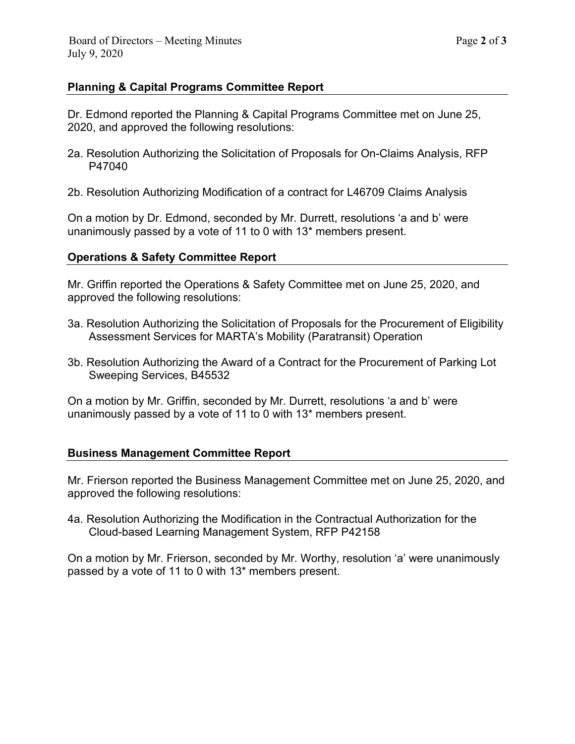# **Planning & Capital Programs Committee Report**

Dr. Edmond reported the Planning & Capital Programs Committee met on June 25, 2020, and approved the following resolutions:

- 2a. Resolution Authorizing the Solicitation of Proposals for On-Claims Analysis, RFP P47040
- 2b. Resolution Authorizing Modification of a contract for L46709 Claims Analysis

On a motion by Dr. Edmond, seconded by Mr. Durrett, resolutions 'a and b' were unanimously passed by a vote of 11 to 0 with 13\* members present.

#### **Operations & Safety Committee Report**

Mr. Griffin reported the Operations & Safety Committee met on June 25, 2020, and approved the following resolutions:

- 3a. Resolution Authorizing the Solicitation of Proposals for the Procurement of Eligibility Assessment Services for MARTA's Mobility (Paratransit) Operation
- 3b. Resolution Authorizing the Award of a Contract for the Procurement of Parking Lot Sweeping Services, B45532

On a motion by Mr. Griffin, seconded by Mr. Durrett, resolutions 'a and b' were unanimously passed by a vote of 11 to 0 with 13\* members present.

#### **Business Management Committee Report**

Mr. Frierson reported the Business Management Committee met on June 25, 2020, and approved the following resolutions:

4a. Resolution Authorizing the Modification in the Contractual Authorization for the Cloud-based Learning Management System, RFP P42158

On a motion by Mr. Frierson, seconded by Mr. Worthy, resolution 'a' were unanimously passed by a vote of 11 to 0 with 13\* members present.